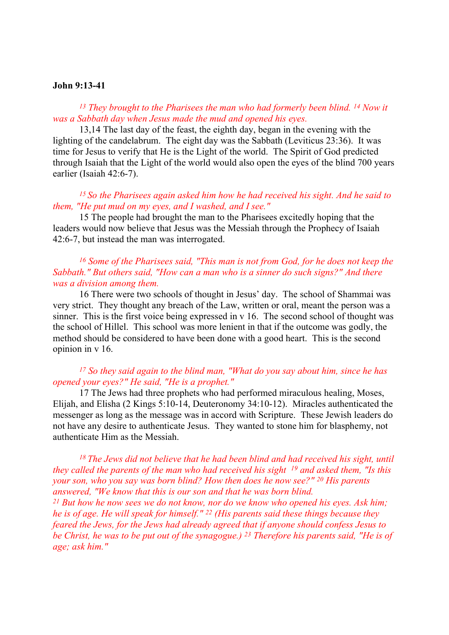#### John 9:13-41

## <sup>13</sup> They brought to the Pharisees the man who had formerly been blind. <sup>14</sup> Now it was a Sabbath day when Jesus made the mud and opened his eyes.

 13,14 The last day of the feast, the eighth day, began in the evening with the lighting of the candelabrum. The eight day was the Sabbath (Leviticus 23:36). It was time for Jesus to verify that He is the Light of the world. The Spirit of God predicted through Isaiah that the Light of the world would also open the eyes of the blind 700 years earlier (Isaiah 42:6-7).

# $15$  So the Pharisees again asked him how he had received his sight. And he said to them, "He put mud on my eyes, and I washed, and I see."

15 The people had brought the man to the Pharisees excitedly hoping that the leaders would now believe that Jesus was the Messiah through the Prophecy of Isaiah 42:6-7, but instead the man was interrogated.

## <sup>16</sup> Some of the Pharisees said, "This man is not from God, for he does not keep the Sabbath." But others said, "How can a man who is a sinner do such signs?" And there was a division among them.

 16 There were two schools of thought in Jesus' day. The school of Shammai was very strict. They thought any breach of the Law, written or oral, meant the person was a sinner. This is the first voice being expressed in v 16. The second school of thought was the school of Hillel. This school was more lenient in that if the outcome was godly, the method should be considered to have been done with a good heart. This is the second opinion in v 16.

## $17$  So they said again to the blind man, "What do you say about him, since he has opened your eyes?" He said, "He is a prophet."

 17 The Jews had three prophets who had performed miraculous healing, Moses, Elijah, and Elisha (2 Kings 5:10-14, Deuteronomy 34:10-12). Miracles authenticated the messenger as long as the message was in accord with Scripture. These Jewish leaders do not have any desire to authenticate Jesus. They wanted to stone him for blasphemy, not authenticate Him as the Messiah.

# $18$  The Jews did not believe that he had been blind and had received his sight, until they called the parents of the man who had received his sight  $19$  and asked them, "Is this your son, who you say was born blind? How then does he now see?" 20 His parents answered, "We know that this is our son and that he was born blind.

<sup>21</sup> But how he now sees we do not know, nor do we know who opened his eyes. Ask him; he is of age. He will speak for himself."  $^{22}$  (His parents said these things because they feared the Jews, for the Jews had already agreed that if anyone should confess Jesus to be Christ, he was to be put out of the synagogue.) 23 Therefore his parents said, "He is of age; ask him."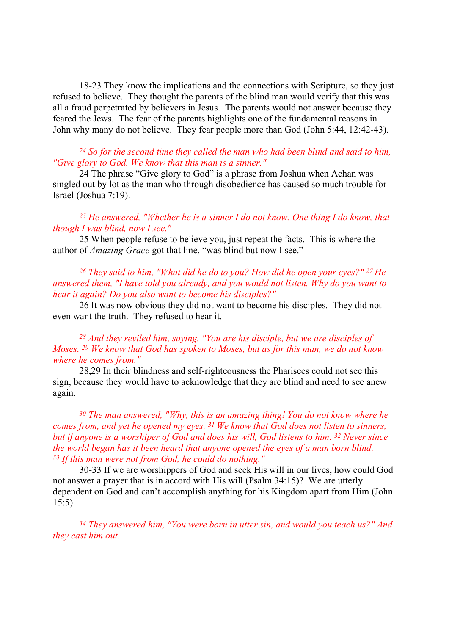18-23 They know the implications and the connections with Scripture, so they just refused to believe. They thought the parents of the blind man would verify that this was all a fraud perpetrated by believers in Jesus. The parents would not answer because they feared the Jews. The fear of the parents highlights one of the fundamental reasons in John why many do not believe. They fear people more than God (John 5:44, 12:42-43).

### $24$  So for the second time they called the man who had been blind and said to him, "Give glory to God. We know that this man is a sinner."

24 The phrase "Give glory to God" is a phrase from Joshua when Achan was singled out by lot as the man who through disobedience has caused so much trouble for Israel (Joshua 7:19).

## <sup>25</sup> He answered, "Whether he is a sinner I do not know. One thing I do know, that though I was blind, now I see."

 25 When people refuse to believe you, just repeat the facts. This is where the author of Amazing Grace got that line, "was blind but now I see."

## <sup>26</sup> They said to him, "What did he do to you? How did he open your eyes?" <sup>27</sup> He answered them, "I have told you already, and you would not listen. Why do you want to hear it again? Do you also want to become his disciples?"

 26 It was now obvious they did not want to become his disciples. They did not even want the truth. They refused to hear it.

## $28$  And they reviled him, saying, "You are his disciple, but we are disciples of Moses. 29 We know that God has spoken to Moses, but as for this man, we do not know where he comes from."

 28,29 In their blindness and self-righteousness the Pharisees could not see this sign, because they would have to acknowledge that they are blind and need to see anew again.

 $30$  The man answered, "Why, this is an amazing thing! You do not know where he comes from, and yet he opened my eyes. 31 We know that God does not listen to sinners, but if anyone is a worshiper of God and does his will, God listens to him. <sup>32</sup> Never since the world began has it been heard that anyone opened the eyes of a man born blind.  $33$  If this man were not from God, he could do nothing."

 30-33 If we are worshippers of God and seek His will in our lives, how could God not answer a prayer that is in accord with His will (Psalm 34:15)? We are utterly dependent on God and can't accomplish anything for his Kingdom apart from Him (John 15:5).

<sup>34</sup> They answered him, "You were born in utter sin, and would you teach us?" And they cast him out.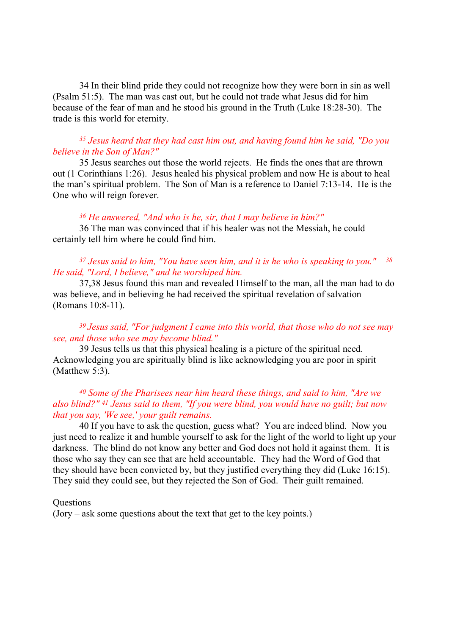34 In their blind pride they could not recognize how they were born in sin as well (Psalm 51:5). The man was cast out, but he could not trade what Jesus did for him because of the fear of man and he stood his ground in the Truth (Luke 18:28-30). The trade is this world for eternity.

## $35$  Jesus heard that they had cast him out, and having found him he said, "Do you believe in the Son of Man?"

 35 Jesus searches out those the world rejects. He finds the ones that are thrown out (1 Corinthians 1:26). Jesus healed his physical problem and now He is about to heal the man's spiritual problem. The Son of Man is a reference to Daniel 7:13-14. He is the One who will reign forever.

#### $36$  He answered, "And who is he, sir, that I may believe in him?"

 36 The man was convinced that if his healer was not the Messiah, he could certainly tell him where he could find him.

## $37$  Jesus said to him, "You have seen him, and it is he who is speaking to you."  $38$ He said, "Lord, I believe," and he worshiped him.

 37,38 Jesus found this man and revealed Himself to the man, all the man had to do was believe, and in believing he had received the spiritual revelation of salvation (Romans 10:8-11).

## $39$  Jesus said, "For judgment I came into this world, that those who do not see may see, and those who see may become blind."

 39 Jesus tells us that this physical healing is a picture of the spiritual need. Acknowledging you are spiritually blind is like acknowledging you are poor in spirit (Matthew 5:3).

# <sup>40</sup> Some of the Pharisees near him heard these things, and said to him, "Are we also blind?" 41 Jesus said to them, "If you were blind, you would have no guilt; but now that you say, 'We see,' your guilt remains.

 40 If you have to ask the question, guess what? You are indeed blind. Now you just need to realize it and humble yourself to ask for the light of the world to light up your darkness. The blind do not know any better and God does not hold it against them. It is those who say they can see that are held accountable. They had the Word of God that they should have been convicted by, but they justified everything they did (Luke 16:15). They said they could see, but they rejected the Son of God. Their guilt remained.

#### **Ouestions**

(Jory – ask some questions about the text that get to the key points.)